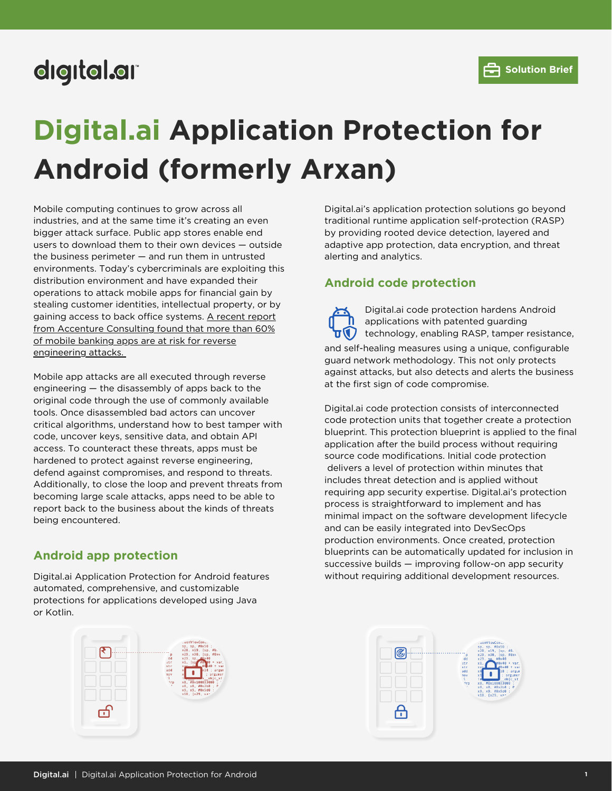# digital.ar

# **Digital.ai Application Protection for Android (formerly Arxan)**

Mobile computing continues to grow across all industries, and at the same time it's creating an even bigger attack surface. Public app stores enable end users to download them to their own devices — outside the business perimeter — and run them in untrusted environments. Today's cybercriminals are exploiting this distribution environment and have expanded their operations to attack mobile apps for financial gain by stealing customer identities, intellectual property, or by gaining access to back office systems. A recent report from Accenture Consulting found that more than 60% of mobile banking apps are at risk for reverse engineering attacks.

Mobile app attacks are all executed through reverse engineering — the disassembly of apps back to the original code through the use of commonly available tools. Once disassembled bad actors can uncover critical algorithms, understand how to best tamper with code, uncover keys, sensitive data, and obtain API access. To counteract these threats, apps must be hardened to protect against reverse engineering, defend against compromises, and respond to threats. Additionally, to close the loop and prevent threats from becoming large scale attacks, apps need to be able to report back to the business about the kinds of threats being encountered.

# **Android app protection**

Digital.ai Application Protection for Android features automated, comprehensive, and customizable protections for applications developed using Java or Kotlin.



Digital.ai's application protection solutions go beyond traditional runtime application self-protection (RASP) by providing rooted device detection, layered and adaptive app protection, data encryption, and threat alerting and analytics.

# **Android code protection**

and self-healing measures using a unique, configurable guard network methodology. This not only protects against attacks, but also detects and alerts the business at the first sign of code compromise. Digital.ai code protection hardens Android applications with patented guarding technology, enabling RASP, tamper resistance,

Digital.ai code protection consists of interconnected code protection units that together create a protection blueprint. This protection blueprint is applied to the final application after the build process without requiring source code modifications. Initial code protection delivers a level of protection within minutes that includes threat detection and is applied without requiring app security expertise. Digital.ai's protection process is straightforward to implement and has minimal impact on the software development lifecycle and can be easily integrated into DevSecOps production environments. Once created, protection blueprints can be automatically updated for inclusion in successive builds — improving follow-on app security without requiring additional development resources.